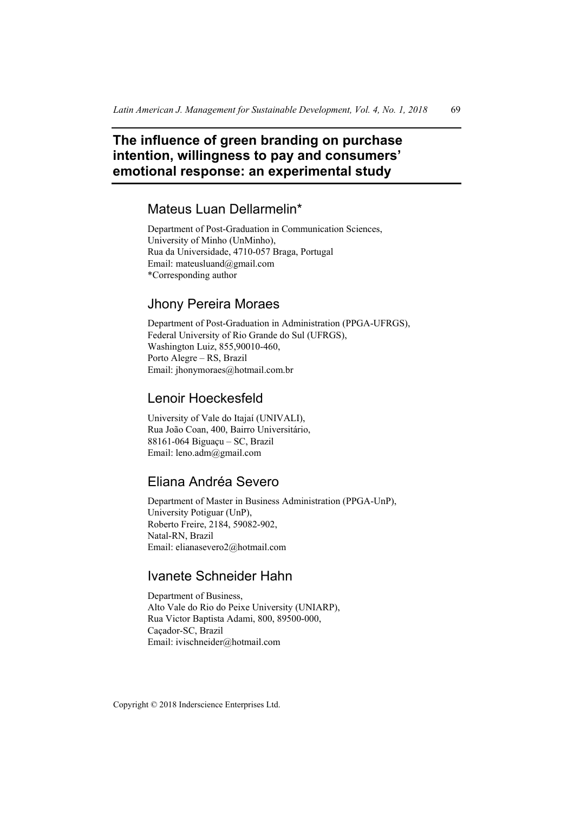# **The influence of green branding on purchase intention, willingness to pay and consumers' emotional response: an experimental study**

# Mateus Luan Dellarmelin\*

Department of Post-Graduation in Communication Sciences, University of Minho (UnMinho), Rua da Universidade, 4710-057 Braga, Portugal Email: mateusluand@gmail.com \*Corresponding author

# Jhony Pereira Moraes

Department of Post-Graduation in Administration (PPGA-UFRGS), Federal University of Rio Grande do Sul (UFRGS), Washington Luiz, 855,90010-460, Porto Alegre – RS, Brazil Email: jhonymoraes@hotmail.com.br

# Lenoir Hoeckesfeld

University of Vale do Itajaí (UNIVALI), Rua João Coan, 400, Bairro Universitário, 88161-064 Biguaçu – SC, Brazil Email: leno.adm@gmail.com

# Eliana Andréa Severo

Department of Master in Business Administration (PPGA-UnP), University Potiguar (UnP), Roberto Freire, 2184, 59082-902, Natal-RN, Brazil Email: elianasevero2@hotmail.com

# Ivanete Schneider Hahn

Department of Business, Alto Vale do Rio do Peixe University (UNIARP), Rua Victor Baptista Adami, 800, 89500-000, Caçador-SC, Brazil Email: ivischneider@hotmail.com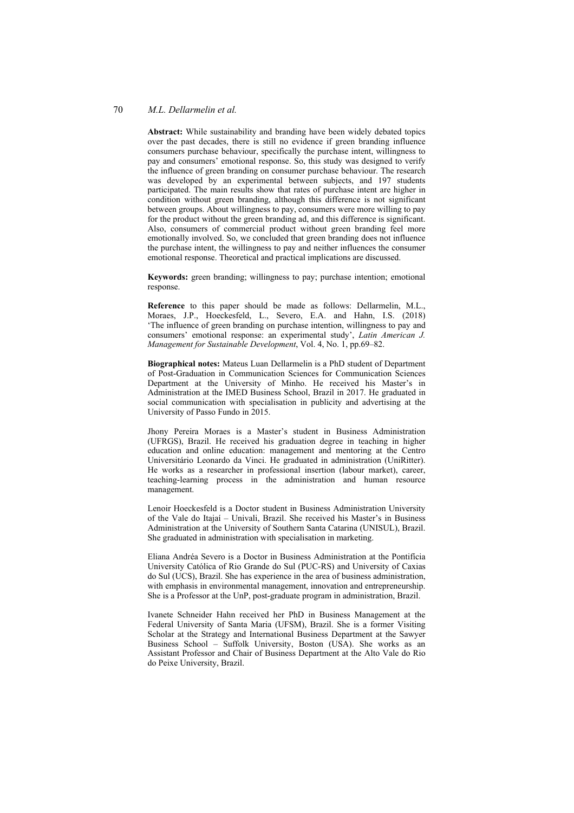**Abstract:** While sustainability and branding have been widely debated topics over the past decades, there is still no evidence if green branding influence consumers purchase behaviour, specifically the purchase intent, willingness to pay and consumers' emotional response. So, this study was designed to verify the influence of green branding on consumer purchase behaviour. The research was developed by an experimental between subjects, and 197 students participated. The main results show that rates of purchase intent are higher in condition without green branding, although this difference is not significant between groups. About willingness to pay, consumers were more willing to pay for the product without the green branding ad, and this difference is significant. Also, consumers of commercial product without green branding feel more emotionally involved. So, we concluded that green branding does not influence the purchase intent, the willingness to pay and neither influences the consumer emotional response. Theoretical and practical implications are discussed.

**Keywords:** green branding; willingness to pay; purchase intention; emotional response.

**Reference** to this paper should be made as follows: Dellarmelin, M.L., Moraes, J.P., Hoeckesfeld, L., Severo, E.A. and Hahn, I.S. (2018) 'The influence of green branding on purchase intention, willingness to pay and consumers' emotional response: an experimental study', *Latin American J. Management for Sustainable Development*, Vol. 4, No. 1, pp.69–82.

**Biographical notes:** Mateus Luan Dellarmelin is a PhD student of Department of Post-Graduation in Communication Sciences for Communication Sciences Department at the University of Minho. He received his Master's in Administration at the IMED Business School, Brazil in 2017. He graduated in social communication with specialisation in publicity and advertising at the University of Passo Fundo in 2015.

Jhony Pereira Moraes is a Master's student in Business Administration (UFRGS), Brazil. He received his graduation degree in teaching in higher education and online education: management and mentoring at the Centro Universitário Leonardo da Vinci. He graduated in administration (UniRitter). He works as a researcher in professional insertion (labour market), career, teaching-learning process in the administration and human resource management.

Lenoir Hoeckesfeld is a Doctor student in Business Administration University of the Vale do Itajaí – Univali, Brazil. She received his Master's in Business Administration at the University of Southern Santa Catarina (UNISUL), Brazil. She graduated in administration with specialisation in marketing.

Eliana Andréa Severo is a Doctor in Business Administration at the Pontifícia University Católica of Rio Grande do Sul (PUC-RS) and University of Caxias do Sul (UCS), Brazil. She has experience in the area of business administration, with emphasis in environmental management, innovation and entrepreneurship. She is a Professor at the UnP, post-graduate program in administration, Brazil.

Ivanete Schneider Hahn received her PhD in Business Management at the Federal University of Santa Maria (UFSM), Brazil. She is a former Visiting Scholar at the Strategy and International Business Department at the Sawyer Business School – Suffolk University, Boston (USA). She works as an Assistant Professor and Chair of Business Department at the Alto Vale do Rio do Peixe University, Brazil.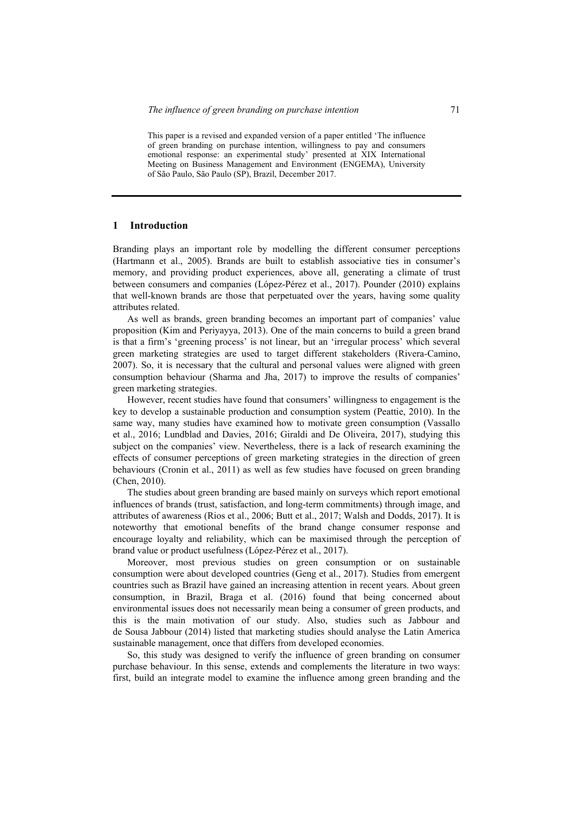This paper is a revised and expanded version of a paper entitled 'The influence of green branding on purchase intention, willingness to pay and consumers emotional response: an experimental study' presented at XIX International Meeting on Business Management and Environment (ENGEMA), University of São Paulo, São Paulo (SP), Brazil, December 2017.

# **1 Introduction**

Branding plays an important role by modelling the different consumer perceptions (Hartmann et al., 2005). Brands are built to establish associative ties in consumer's memory, and providing product experiences, above all, generating a climate of trust between consumers and companies (López-Pérez et al., 2017). Pounder (2010) explains that well-known brands are those that perpetuated over the years, having some quality attributes related.

As well as brands, green branding becomes an important part of companies' value proposition (Kim and Periyayya, 2013). One of the main concerns to build a green brand is that a firm's 'greening process' is not linear, but an 'irregular process' which several green marketing strategies are used to target different stakeholders (Rivera-Camino, 2007). So, it is necessary that the cultural and personal values were aligned with green consumption behaviour (Sharma and Jha, 2017) to improve the results of companies' green marketing strategies.

However, recent studies have found that consumers' willingness to engagement is the key to develop a sustainable production and consumption system (Peattie, 2010). In the same way, many studies have examined how to motivate green consumption (Vassallo et al., 2016; Lundblad and Davies, 2016; Giraldi and De Oliveira, 2017), studying this subject on the companies' view. Nevertheless, there is a lack of research examining the effects of consumer perceptions of green marketing strategies in the direction of green behaviours (Cronin et al., 2011) as well as few studies have focused on green branding (Chen, 2010).

The studies about green branding are based mainly on surveys which report emotional influences of brands (trust, satisfaction, and long-term commitments) through image, and attributes of awareness (Rios et al., 2006; Butt et al., 2017; Walsh and Dodds, 2017). It is noteworthy that emotional benefits of the brand change consumer response and encourage loyalty and reliability, which can be maximised through the perception of brand value or product usefulness (López-Pérez et al., 2017).

Moreover, most previous studies on green consumption or on sustainable consumption were about developed countries (Geng et al., 2017). Studies from emergent countries such as Brazil have gained an increasing attention in recent years. About green consumption, in Brazil, Braga et al. (2016) found that being concerned about environmental issues does not necessarily mean being a consumer of green products, and this is the main motivation of our study. Also, studies such as Jabbour and de Sousa Jabbour (2014) listed that marketing studies should analyse the Latin America sustainable management, once that differs from developed economies.

So, this study was designed to verify the influence of green branding on consumer purchase behaviour. In this sense, extends and complements the literature in two ways: first, build an integrate model to examine the influence among green branding and the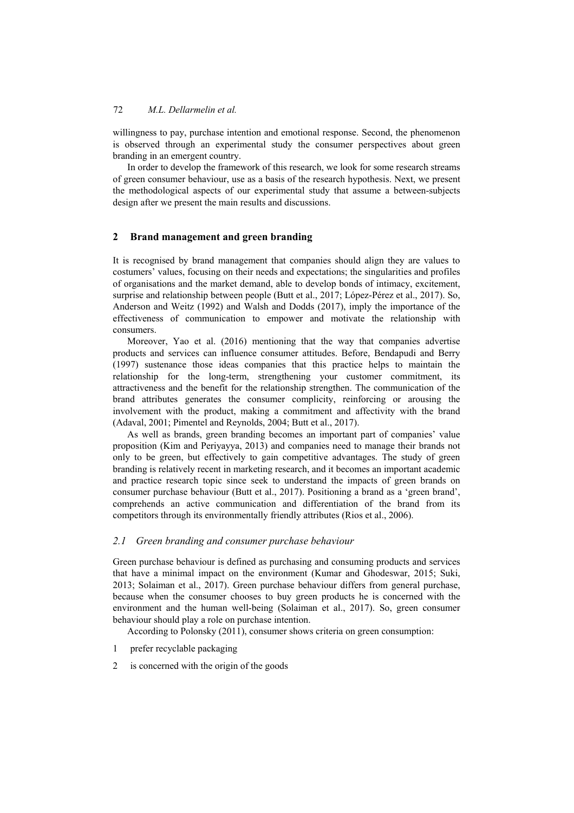willingness to pay, purchase intention and emotional response. Second, the phenomenon is observed through an experimental study the consumer perspectives about green branding in an emergent country.

In order to develop the framework of this research, we look for some research streams of green consumer behaviour, use as a basis of the research hypothesis. Next, we present the methodological aspects of our experimental study that assume a between-subjects design after we present the main results and discussions.

# **2 Brand management and green branding**

It is recognised by brand management that companies should align they are values to costumers' values, focusing on their needs and expectations; the singularities and profiles of organisations and the market demand, able to develop bonds of intimacy, excitement, surprise and relationship between people (Butt et al., 2017; López-Pérez et al., 2017). So, Anderson and Weitz (1992) and Walsh and Dodds (2017), imply the importance of the effectiveness of communication to empower and motivate the relationship with consumers.

Moreover, Yao et al. (2016) mentioning that the way that companies advertise products and services can influence consumer attitudes. Before, Bendapudi and Berry (1997) sustenance those ideas companies that this practice helps to maintain the relationship for the long-term, strengthening your customer commitment, its attractiveness and the benefit for the relationship strengthen. The communication of the brand attributes generates the consumer complicity, reinforcing or arousing the involvement with the product, making a commitment and affectivity with the brand (Adaval, 2001; Pimentel and Reynolds, 2004; Butt et al., 2017).

As well as brands, green branding becomes an important part of companies' value proposition (Kim and Periyayya, 2013) and companies need to manage their brands not only to be green, but effectively to gain competitive advantages. The study of green branding is relatively recent in marketing research, and it becomes an important academic and practice research topic since seek to understand the impacts of green brands on consumer purchase behaviour (Butt et al., 2017). Positioning a brand as a 'green brand', comprehends an active communication and differentiation of the brand from its competitors through its environmentally friendly attributes (Rios et al., 2006).

#### *2.1 Green branding and consumer purchase behaviour*

Green purchase behaviour is defined as purchasing and consuming products and services that have a minimal impact on the environment (Kumar and Ghodeswar, 2015; Suki, 2013; Solaiman et al., 2017). Green purchase behaviour differs from general purchase, because when the consumer chooses to buy green products he is concerned with the environment and the human well-being (Solaiman et al., 2017). So, green consumer behaviour should play a role on purchase intention.

According to Polonsky (2011), consumer shows criteria on green consumption:

- 1 prefer recyclable packaging
- 2 is concerned with the origin of the goods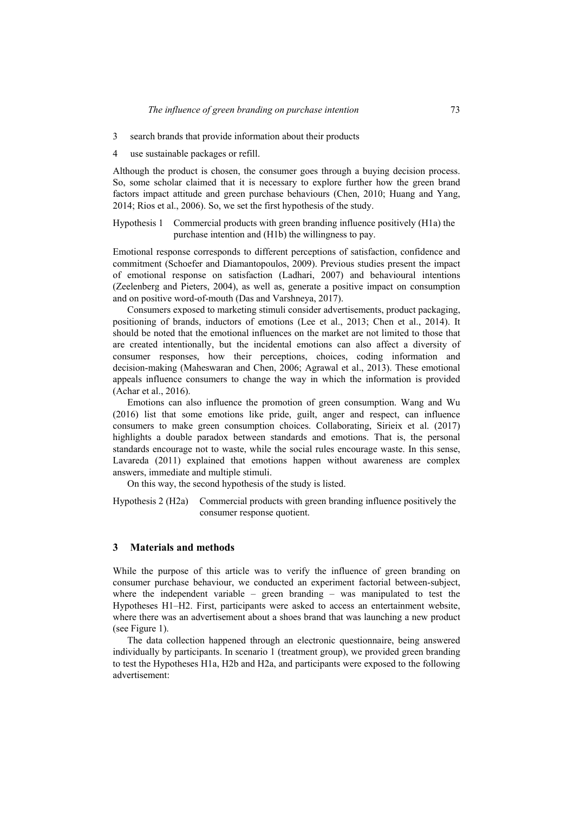3 search brands that provide information about their products

4 use sustainable packages or refill.

Although the product is chosen, the consumer goes through a buying decision process. So, some scholar claimed that it is necessary to explore further how the green brand factors impact attitude and green purchase behaviours (Chen, 2010; Huang and Yang, 2014; Rios et al., 2006). So, we set the first hypothesis of the study.

Hypothesis 1 Commercial products with green branding influence positively (H1a) the purchase intention and (H1b) the willingness to pay.

Emotional response corresponds to different perceptions of satisfaction, confidence and commitment (Schoefer and Diamantopoulos, 2009). Previous studies present the impact of emotional response on satisfaction (Ladhari, 2007) and behavioural intentions (Zeelenberg and Pieters, 2004), as well as, generate a positive impact on consumption and on positive word-of-mouth (Das and Varshneya, 2017).

Consumers exposed to marketing stimuli consider advertisements, product packaging, positioning of brands, inductors of emotions (Lee et al., 2013; Chen et al., 2014). It should be noted that the emotional influences on the market are not limited to those that are created intentionally, but the incidental emotions can also affect a diversity of consumer responses, how their perceptions, choices, coding information and decision-making (Maheswaran and Chen, 2006; Agrawal et al., 2013). These emotional appeals influence consumers to change the way in which the information is provided (Achar et al., 2016).

Emotions can also influence the promotion of green consumption. Wang and Wu (2016) list that some emotions like pride, guilt, anger and respect, can influence consumers to make green consumption choices. Collaborating, Sirieix et al. (2017) highlights a double paradox between standards and emotions. That is, the personal standards encourage not to waste, while the social rules encourage waste. In this sense, Lavareda (2011) explained that emotions happen without awareness are complex answers, immediate and multiple stimuli.

On this way, the second hypothesis of the study is listed.

Hypothesis 2 (H2a) Commercial products with green branding influence positively the consumer response quotient.

# **3 Materials and methods**

While the purpose of this article was to verify the influence of green branding on consumer purchase behaviour, we conducted an experiment factorial between-subject, where the independent variable – green branding – was manipulated to test the Hypotheses H1–H2. First, participants were asked to access an entertainment website, where there was an advertisement about a shoes brand that was launching a new product (see Figure 1).

The data collection happened through an electronic questionnaire, being answered individually by participants. In scenario 1 (treatment group), we provided green branding to test the Hypotheses H1a, H2b and H2a, and participants were exposed to the following advertisement: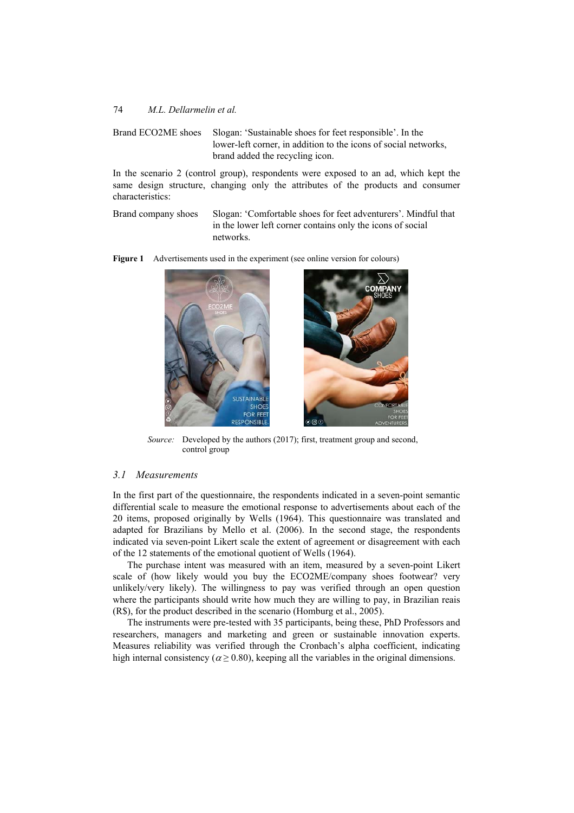Brand ECO2ME shoes Slogan: 'Sustainable shoes for feet responsible'. In the lower-left corner, in addition to the icons of social networks, brand added the recycling icon.

In the scenario 2 (control group), respondents were exposed to an ad, which kept the same design structure, changing only the attributes of the products and consumer characteristics:

Brand company shoes Slogan: 'Comfortable shoes for feet adventurers'. Mindful that in the lower left corner contains only the icons of social networks.

Figure 1 Advertisements used in the experiment (see online version for colours)



*Source:* Developed by the authors (2017); first, treatment group and second, control group

## *3.1 Measurements*

In the first part of the questionnaire, the respondents indicated in a seven-point semantic differential scale to measure the emotional response to advertisements about each of the 20 items, proposed originally by Wells (1964). This questionnaire was translated and adapted for Brazilians by Mello et al. (2006). In the second stage, the respondents indicated via seven-point Likert scale the extent of agreement or disagreement with each of the 12 statements of the emotional quotient of Wells (1964).

The purchase intent was measured with an item, measured by a seven-point Likert scale of (how likely would you buy the ECO2ME/company shoes footwear? very unlikely/very likely). The willingness to pay was verified through an open question where the participants should write how much they are willing to pay, in Brazilian reais (R\$), for the product described in the scenario (Homburg et al., 2005).

The instruments were pre-tested with 35 participants, being these, PhD Professors and researchers, managers and marketing and green or sustainable innovation experts. Measures reliability was verified through the Cronbach's alpha coefficient, indicating high internal consistency ( $\alpha \ge 0.80$ ), keeping all the variables in the original dimensions.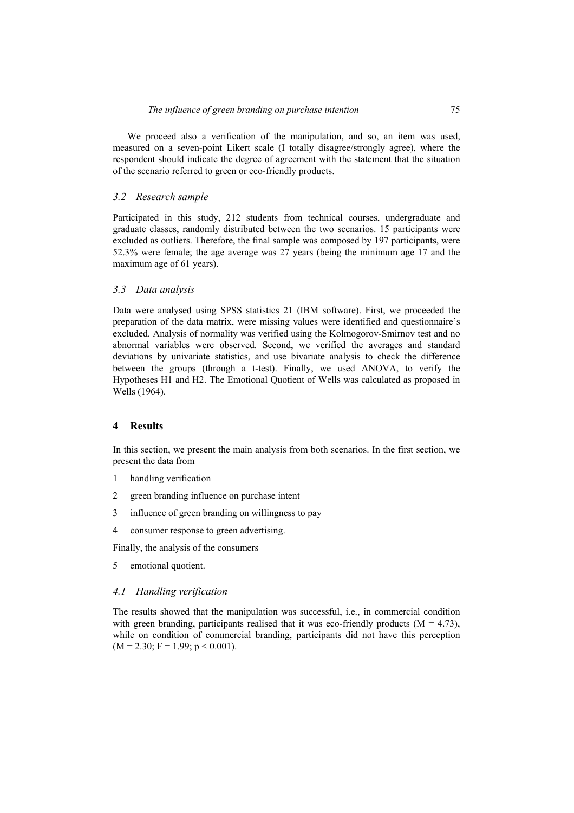We proceed also a verification of the manipulation, and so, an item was used, measured on a seven-point Likert scale (I totally disagree/strongly agree), where the respondent should indicate the degree of agreement with the statement that the situation of the scenario referred to green or eco-friendly products.

### *3.2 Research sample*

Participated in this study, 212 students from technical courses, undergraduate and graduate classes, randomly distributed between the two scenarios. 15 participants were excluded as outliers. Therefore, the final sample was composed by 197 participants, were 52.3% were female; the age average was 27 years (being the minimum age 17 and the maximum age of 61 years).

### *3.3 Data analysis*

Data were analysed using SPSS statistics 21 (IBM software). First, we proceeded the preparation of the data matrix, were missing values were identified and questionnaire's excluded. Analysis of normality was verified using the Kolmogorov-Smirnov test and no abnormal variables were observed. Second, we verified the averages and standard deviations by univariate statistics, and use bivariate analysis to check the difference between the groups (through a t-test). Finally, we used ANOVA, to verify the Hypotheses H1 and H2. The Emotional Quotient of Wells was calculated as proposed in Wells (1964).

#### **4 Results**

In this section, we present the main analysis from both scenarios. In the first section, we present the data from

- 1 handling verification
- 2 green branding influence on purchase intent
- 3 influence of green branding on willingness to pay
- 4 consumer response to green advertising.

Finally, the analysis of the consumers

5 emotional quotient.

# *4.1 Handling verification*

The results showed that the manipulation was successful, i.e., in commercial condition with green branding, participants realised that it was eco-friendly products  $(M = 4.73)$ , while on condition of commercial branding, participants did not have this perception  $(M = 2.30; F = 1.99; p < 0.001)$ .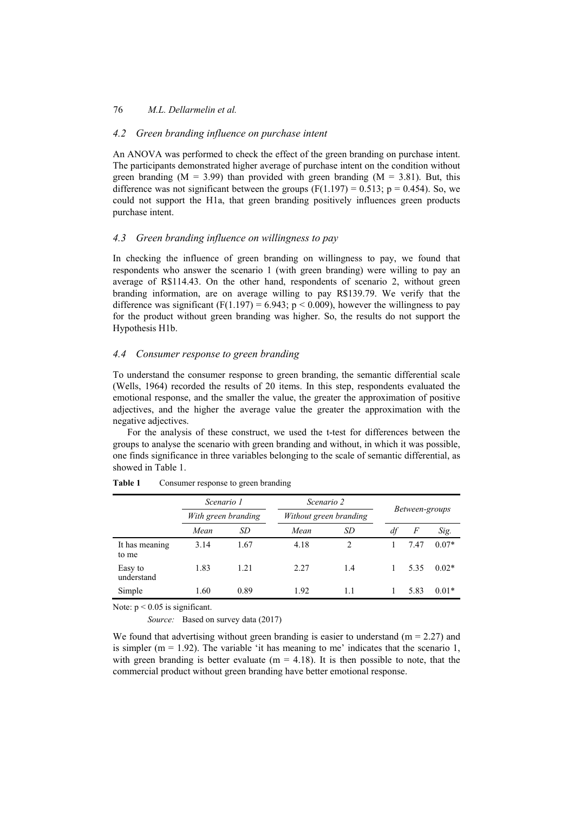# *4.2 Green branding influence on purchase intent*

An ANOVA was performed to check the effect of the green branding on purchase intent. The participants demonstrated higher average of purchase intent on the condition without green branding ( $M = 3.99$ ) than provided with green branding ( $M = 3.81$ ). But, this difference was not significant between the groups  $(F(1.197) = 0.513; p = 0.454)$ . So, we could not support the H1a, that green branding positively influences green products purchase intent.

#### *4.3 Green branding influence on willingness to pay*

In checking the influence of green branding on willingness to pay, we found that respondents who answer the scenario 1 (with green branding) were willing to pay an average of R\$114.43. On the other hand, respondents of scenario 2, without green branding information, are on average willing to pay R\$139.79. We verify that the difference was significant (F(1.197) = 6.943;  $p < 0.009$ ), however the willingness to pay for the product without green branding was higher. So, the results do not support the Hypothesis H1b.

### *4.4 Consumer response to green branding*

To understand the consumer response to green branding, the semantic differential scale (Wells, 1964) recorded the results of 20 items. In this step, respondents evaluated the emotional response, and the smaller the value, the greater the approximation of positive adjectives, and the higher the average value the greater the approximation with the negative adjectives.

For the analysis of these construct, we used the t-test for differences between the groups to analyse the scenario with green branding and without, in which it was possible, one finds significance in three variables belonging to the scale of semantic differential, as showed in Table 1.

|                         | Scenario 1<br>With green branding |      | Scenario 2<br>Without green branding |                | Between-groups |      |         |
|-------------------------|-----------------------------------|------|--------------------------------------|----------------|----------------|------|---------|
|                         |                                   |      |                                      |                |                |      |         |
|                         | Mean                              | SD   | Mean                                 | SD             | df             | F    | Sig.    |
| It has meaning<br>to me | 3.14                              | 1.67 | 4.18                                 | $\mathfrak{D}$ |                | 7.47 | $0.07*$ |
| Easy to<br>understand   | 1.83                              | 1 21 | 2.27                                 | 1.4            |                | 5.35 | $0.02*$ |
| Simple                  | 1.60                              | 0.89 | 1.92                                 | 11             |                | 5.83 | $0.01*$ |

**Table 1** Consumer response to green branding

Note:  $p < 0.05$  is significant.

*Source:* Based on survey data (2017)

We found that advertising without green branding is easier to understand ( $m = 2.27$ ) and is simpler ( $m = 1.92$ ). The variable 'it has meaning to me' indicates that the scenario 1, with green branding is better evaluate ( $m = 4.18$ ). It is then possible to note, that the commercial product without green branding have better emotional response.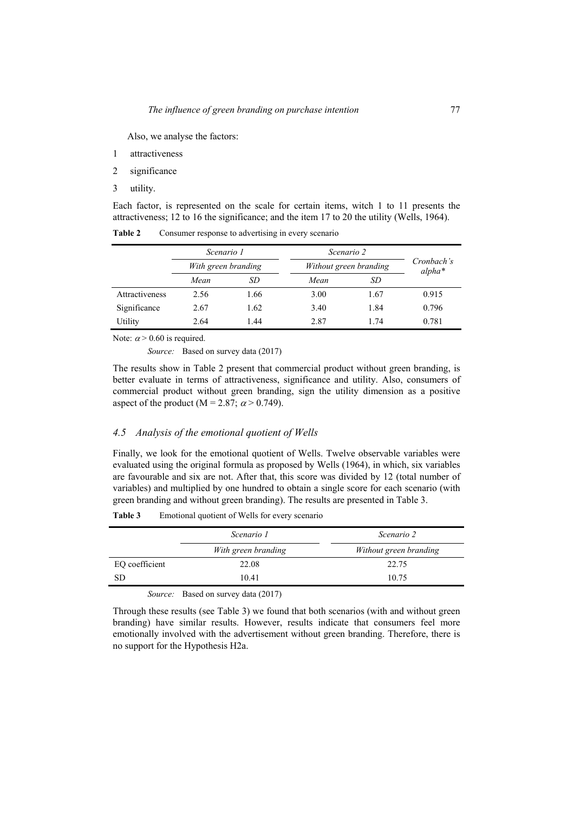Also, we analyse the factors:

- 1 attractiveness
- 2 significance
- 3 utility.

Each factor, is represented on the scale for certain items, witch 1 to 11 presents the attractiveness; 12 to 16 the significance; and the item 17 to 20 the utility (Wells, 1964).

|                | Scenario 1<br>With green branding |      | Scenario 2<br>Without green branding |      |                         |  |
|----------------|-----------------------------------|------|--------------------------------------|------|-------------------------|--|
|                |                                   |      |                                      |      | Cronbach's<br>$alpha^*$ |  |
|                | Mean                              | SD   | Mean                                 | SD   |                         |  |
| Attractiveness | 2.56                              | 1.66 | 3.00                                 | 1.67 | 0.915                   |  |
| Significance   | 2.67                              | 1.62 | 3.40                                 | 1.84 | 0.796                   |  |
| Utility        | 2.64                              | 1.44 | 2.87                                 | 174  | 0.781                   |  |

Table 2 Consumer response to advertising in every scenario

Note:  $\alpha$  > 0.60 is required.

*Source:* Based on survey data (2017)

The results show in Table 2 present that commercial product without green branding, is better evaluate in terms of attractiveness, significance and utility. Also, consumers of commercial product without green branding, sign the utility dimension as a positive aspect of the product (M = 2.87;  $\alpha$  > 0.749).

#### *4.5 Analysis of the emotional quotient of Wells*

Finally, we look for the emotional quotient of Wells. Twelve observable variables were evaluated using the original formula as proposed by Wells (1964), in which, six variables are favourable and six are not. After that, this score was divided by 12 (total number of variables) and multiplied by one hundred to obtain a single score for each scenario (with green branding and without green branding). The results are presented in Table 3.

**Table 3** Emotional quotient of Wells for every scenario

|                | Scenario 1          | Scenario 2             |  |  |
|----------------|---------------------|------------------------|--|--|
|                | With green branding | Without green branding |  |  |
| EQ coefficient | 22.08               | 22.75                  |  |  |
| SD             | 10.41               | 10.75                  |  |  |

*Source:* Based on survey data (2017)

Through these results (see Table 3) we found that both scenarios (with and without green branding) have similar results. However, results indicate that consumers feel more emotionally involved with the advertisement without green branding. Therefore, there is no support for the Hypothesis H2a.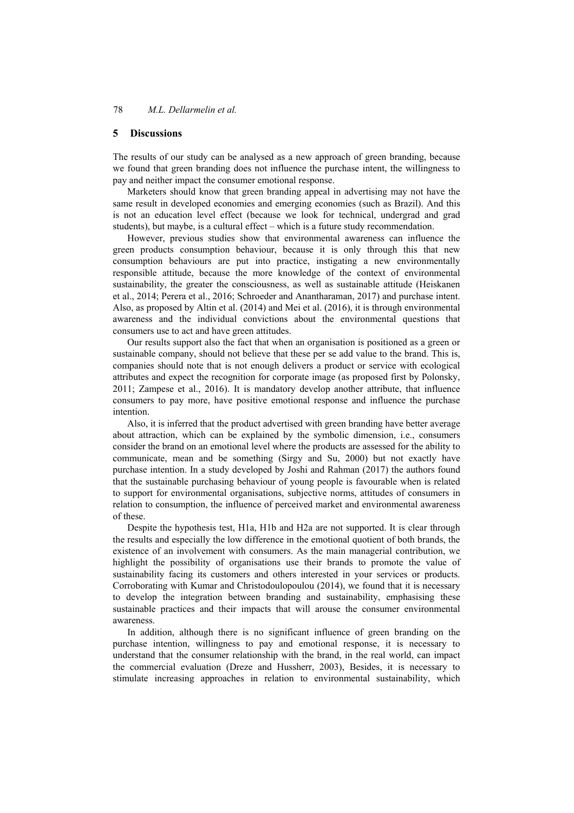#### **5 Discussions**

The results of our study can be analysed as a new approach of green branding, because we found that green branding does not influence the purchase intent, the willingness to pay and neither impact the consumer emotional response.

Marketers should know that green branding appeal in advertising may not have the same result in developed economies and emerging economies (such as Brazil). And this is not an education level effect (because we look for technical, undergrad and grad students), but maybe, is a cultural effect – which is a future study recommendation.

However, previous studies show that environmental awareness can influence the green products consumption behaviour, because it is only through this that new consumption behaviours are put into practice, instigating a new environmentally responsible attitude, because the more knowledge of the context of environmental sustainability, the greater the consciousness, as well as sustainable attitude (Heiskanen et al., 2014; Perera et al., 2016; Schroeder and Anantharaman, 2017) and purchase intent. Also, as proposed by Altin et al. (2014) and Mei et al. (2016), it is through environmental awareness and the individual convictions about the environmental questions that consumers use to act and have green attitudes.

Our results support also the fact that when an organisation is positioned as a green or sustainable company, should not believe that these per se add value to the brand. This is, companies should note that is not enough delivers a product or service with ecological attributes and expect the recognition for corporate image (as proposed first by Polonsky, 2011; Zampese et al., 2016). It is mandatory develop another attribute, that influence consumers to pay more, have positive emotional response and influence the purchase intention.

Also, it is inferred that the product advertised with green branding have better average about attraction, which can be explained by the symbolic dimension, i.e., consumers consider the brand on an emotional level where the products are assessed for the ability to communicate, mean and be something (Sirgy and Su, 2000) but not exactly have purchase intention. In a study developed by Joshi and Rahman (2017) the authors found that the sustainable purchasing behaviour of young people is favourable when is related to support for environmental organisations, subjective norms, attitudes of consumers in relation to consumption, the influence of perceived market and environmental awareness of these.

Despite the hypothesis test, H1a, H1b and H2a are not supported. It is clear through the results and especially the low difference in the emotional quotient of both brands, the existence of an involvement with consumers. As the main managerial contribution, we highlight the possibility of organisations use their brands to promote the value of sustainability facing its customers and others interested in your services or products. Corroborating with Kumar and Christodoulopoulou (2014), we found that it is necessary to develop the integration between branding and sustainability, emphasising these sustainable practices and their impacts that will arouse the consumer environmental awareness.

In addition, although there is no significant influence of green branding on the purchase intention, willingness to pay and emotional response, it is necessary to understand that the consumer relationship with the brand, in the real world, can impact the commercial evaluation (Dreze and Hussherr, 2003), Besides, it is necessary to stimulate increasing approaches in relation to environmental sustainability, which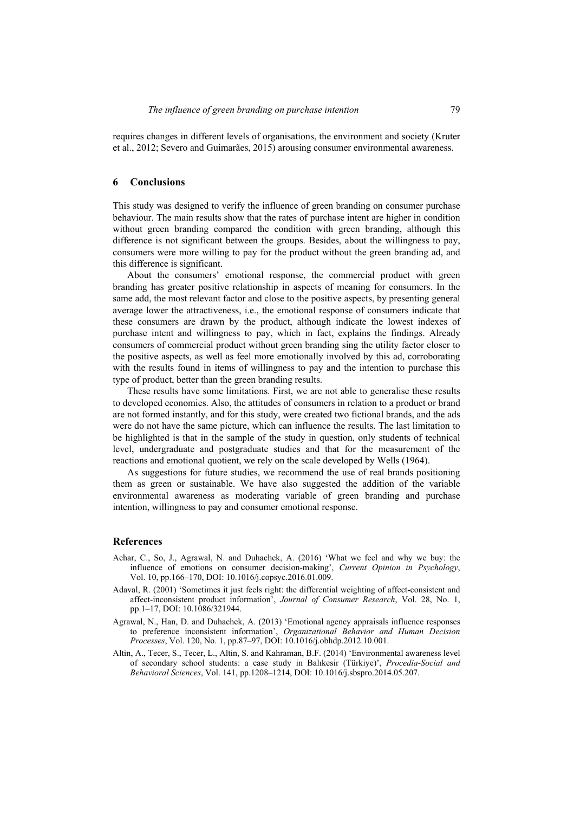requires changes in different levels of organisations, the environment and society (Kruter et al., 2012; Severo and Guimarães, 2015) arousing consumer environmental awareness.

#### **6 Conclusions**

This study was designed to verify the influence of green branding on consumer purchase behaviour. The main results show that the rates of purchase intent are higher in condition without green branding compared the condition with green branding, although this difference is not significant between the groups. Besides, about the willingness to pay, consumers were more willing to pay for the product without the green branding ad, and this difference is significant.

About the consumers' emotional response, the commercial product with green branding has greater positive relationship in aspects of meaning for consumers. In the same add, the most relevant factor and close to the positive aspects, by presenting general average lower the attractiveness, i.e., the emotional response of consumers indicate that these consumers are drawn by the product, although indicate the lowest indexes of purchase intent and willingness to pay, which in fact, explains the findings. Already consumers of commercial product without green branding sing the utility factor closer to the positive aspects, as well as feel more emotionally involved by this ad, corroborating with the results found in items of willingness to pay and the intention to purchase this type of product, better than the green branding results.

These results have some limitations. First, we are not able to generalise these results to developed economies. Also, the attitudes of consumers in relation to a product or brand are not formed instantly, and for this study, were created two fictional brands, and the ads were do not have the same picture, which can influence the results. The last limitation to be highlighted is that in the sample of the study in question, only students of technical level, undergraduate and postgraduate studies and that for the measurement of the reactions and emotional quotient, we rely on the scale developed by Wells (1964).

As suggestions for future studies, we recommend the use of real brands positioning them as green or sustainable. We have also suggested the addition of the variable environmental awareness as moderating variable of green branding and purchase intention, willingness to pay and consumer emotional response.

#### **References**

- Achar, C., So, J., Agrawal, N. and Duhachek, A. (2016) 'What we feel and why we buy: the influence of emotions on consumer decision-making', *Current Opinion in Psychology*, Vol. 10, pp.166–170, DOI: 10.1016/j.copsyc.2016.01.009.
- Adaval, R. (2001) 'Sometimes it just feels right: the differential weighting of affect-consistent and affect-inconsistent product information', *Journal of Consumer Research*, Vol. 28, No. 1, pp.1–17, DOI: 10.1086/321944.
- Agrawal, N., Han, D. and Duhachek, A. (2013) 'Emotional agency appraisals influence responses to preference inconsistent information', *Organizational Behavior and Human Decision Processes*, Vol. 120, No. 1, pp.87–97, DOI: 10.1016/j.obhdp.2012.10.001.
- Altin, A., Tecer, S., Tecer, L., Altin, S. and Kahraman, B.F. (2014) 'Environmental awareness level of secondary school students: a case study in Balıkesir (Türkiye)', *Procedia-Social and Behavioral Sciences*, Vol. 141, pp.1208–1214, DOI: 10.1016/j.sbspro.2014.05.207.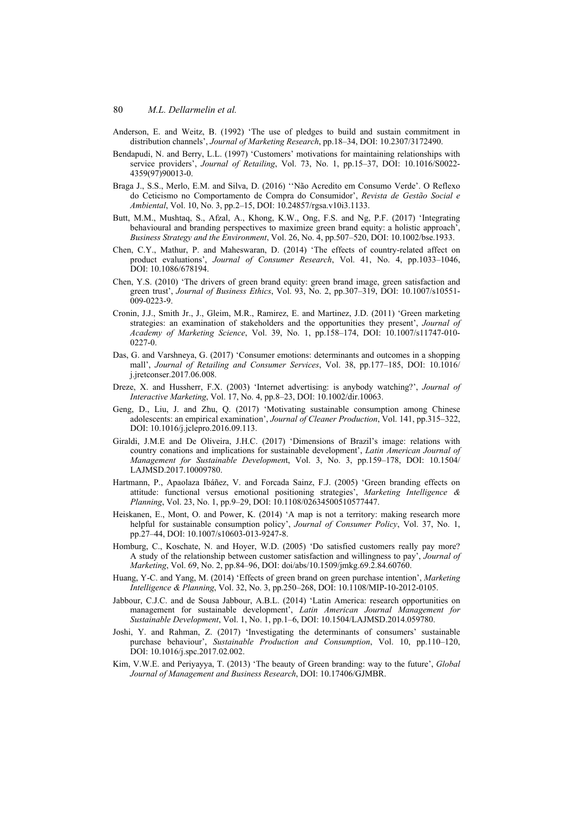- Anderson, E. and Weitz, B. (1992) 'The use of pledges to build and sustain commitment in distribution channels', *Journal of Marketing Research*, pp.18–34, DOI: 10.2307/3172490.
- Bendapudi, N. and Berry, L.L. (1997) 'Customers' motivations for maintaining relationships with service providers', *Journal of Retailing*, Vol. 73, No. 1, pp.15–37, DOI: 10.1016/S0022- 4359(97)90013-0.
- Braga J., S.S., Merlo, E.M. and Silva, D. (2016) ''Não Acredito em Consumo Verde'. O Reflexo do Ceticismo no Comportamento de Compra do Consumidor', *Revista de Gestão Social e Ambiental*, Vol. 10, No. 3, pp.2–15, DOI: 10.24857/rgsa.v10i3.1133.
- Butt, M.M., Mushtaq, S., Afzal, A., Khong, K.W., Ong, F.S. and Ng, P.F. (2017) 'Integrating behavioural and branding perspectives to maximize green brand equity: a holistic approach', *Business Strategy and the Environment*, Vol. 26, No. 4, pp.507–520, DOI: 10.1002/bse.1933.
- Chen, C.Y., Mathur, P. and Maheswaran, D. (2014) 'The effects of country-related affect on product evaluations', *Journal of Consumer Research*, Vol. 41, No. 4, pp.1033–1046, DOI: 10.1086/678194.
- Chen, Y.S. (2010) 'The drivers of green brand equity: green brand image, green satisfaction and green trust', *Journal of Business Ethics*, Vol. 93, No. 2, pp.307–319, DOI: 10.1007/s10551- 009-0223-9.
- Cronin, J.J., Smith Jr., J., Gleim, M.R., Ramirez, E. and Martinez, J.D. (2011) 'Green marketing strategies: an examination of stakeholders and the opportunities they present', *Journal of Academy of Marketing Science*, Vol. 39, No. 1, pp.158–174, DOI: 10.1007/s11747-010- 0227-0.
- Das, G. and Varshneya, G. (2017) 'Consumer emotions: determinants and outcomes in a shopping mall', *Journal of Retailing and Consumer Services*, Vol. 38, pp.177–185, DOI: 10.1016/ j.jretconser.2017.06.008.
- Dreze, X. and Hussherr, F.X. (2003) 'Internet advertising: is anybody watching?', *Journal of Interactive Marketing*, Vol. 17, No. 4, pp.8–23, DOI: 10.1002/dir.10063.
- Geng, D., Liu, J. and Zhu, Q. (2017) 'Motivating sustainable consumption among Chinese adolescents: an empirical examination', *Journal of Cleaner Production*, Vol. 141, pp.315–322, DOI: 10.1016/j.jclepro.2016.09.113.
- Giraldi, J.M.E and De Oliveira, J.H.C. (2017) 'Dimensions of Brazil's image: relations with country conations and implications for sustainable development', *Latin American Journal of Management for Sustainable Developmen*t, Vol. 3, No. 3, pp.159–178, DOI: 10.1504/ LAJMSD.2017.10009780.
- Hartmann, P., Apaolaza Ibáñez, V. and Forcada Sainz, F.J. (2005) 'Green branding effects on attitude: functional versus emotional positioning strategies', *Marketing Intelligence & Planning*, Vol. 23, No. 1, pp.9–29, DOI: 10.1108/02634500510577447.
- Heiskanen, E., Mont, O. and Power, K. (2014) 'A map is not a territory: making research more helpful for sustainable consumption policy', *Journal of Consumer Policy*, Vol. 37, No. 1, pp.27–44, DOI: 10.1007/s10603-013-9247-8.
- Homburg, C., Koschate, N. and Hoyer, W.D. (2005) 'Do satisfied customers really pay more? A study of the relationship between customer satisfaction and willingness to pay', *Journal of Marketing*, Vol. 69, No. 2, pp.84–96, DOI: doi/abs/10.1509/jmkg.69.2.84.60760.
- Huang, Y-C. and Yang, M. (2014) 'Effects of green brand on green purchase intention', *Marketing Intelligence & Planning*, Vol. 32, No. 3, pp.250–268, DOI: 10.1108/MIP-10-2012-0105.
- Jabbour, C.J.C. and de Sousa Jabbour, A.B.L. (2014) 'Latin America: research opportunities on management for sustainable development', *Latin American Journal Management for Sustainable Development*, Vol. 1, No. 1, pp.1–6, DOI: 10.1504/LAJMSD.2014.059780.
- Joshi, Y. and Rahman, Z. (2017) 'Investigating the determinants of consumers' sustainable purchase behaviour', *Sustainable Production and Consumption*, Vol. 10, pp.110–120, DOI: 10.1016/j.spc.2017.02.002.
- Kim, V.W.E. and Periyayya, T. (2013) 'The beauty of Green branding: way to the future', *Global Journal of Management and Business Research*, DOI: 10.17406/GJMBR.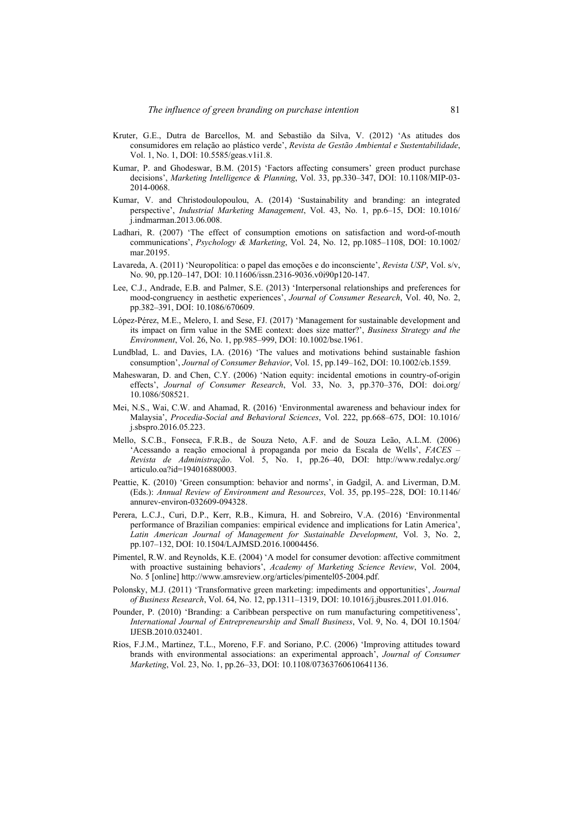- Kruter, G.E., Dutra de Barcellos, M. and Sebastião da Silva, V. (2012) 'As atitudes dos consumidores em relação ao plástico verde', *Revista de Gestão Ambiental e Sustentabilidade*, Vol. 1, No. 1, DOI: 10.5585/geas.v1i1.8.
- Kumar, P. and Ghodeswar, B.M. (2015) 'Factors affecting consumers' green product purchase decisions', *Marketing Intelligence & Planning*, Vol. 33, pp.330–347, DOI: 10.1108/MIP-03- 2014-0068.
- Kumar, V. and Christodoulopoulou, A. (2014) 'Sustainability and branding: an integrated perspective', *Industrial Marketing Management*, Vol. 43, No. 1, pp.6–15, DOI: 10.1016/ j.indmarman.2013.06.008.
- Ladhari, R. (2007) 'The effect of consumption emotions on satisfaction and word-of-mouth communications', *Psychology & Marketing*, Vol. 24, No. 12, pp.1085–1108, DOI: 10.1002/ mar. 20195.
- Lavareda, A. (2011) 'Neuropolítica: o papel das emoções e do inconsciente', *Revista USP*, Vol. s/v, No. 90, pp.120–147, DOI: 10.11606/issn.2316-9036.v0i90p120-147.
- Lee, C.J., Andrade, E.B. and Palmer, S.E. (2013) 'Interpersonal relationships and preferences for mood-congruency in aesthetic experiences', *Journal of Consumer Research*, Vol. 40, No. 2, pp.382–391, DOI: 10.1086/670609.
- López-Pérez, M.E., Melero, I. and Sese, FJ. (2017) 'Management for sustainable development and its impact on firm value in the SME context: does size matter?', *Business Strategy and the Environment*, Vol. 26, No. 1, pp.985–999, DOI: 10.1002/bse.1961.
- Lundblad, L. and Davies, I.A. (2016) 'The values and motivations behind sustainable fashion consumption', *Journal of Consumer Behavior*, Vol. 15, pp.149–162, DOI: 10.1002/cb.1559.
- Maheswaran, D. and Chen, C.Y. (2006) 'Nation equity: incidental emotions in country-of-origin effects', *Journal of Consumer Research*, Vol. 33, No. 3, pp.370–376, DOI: doi.org/ 10.1086/508521.
- Mei, N.S., Wai, C.W. and Ahamad, R. (2016) 'Environmental awareness and behaviour index for Malaysia', *Procedia-Social and Behavioral Sciences*, Vol. 222, pp.668–675, DOI: 10.1016/ j.sbspro.2016.05.223.
- Mello, S.C.B., Fonseca, F.R.B., de Souza Neto, A.F. and de Souza Leão, A.L.M. (2006) 'Acessando a reação emocional à propaganda por meio da Escala de Wells', *FACES – Revista de Administração*. Vol. 5, No. 1, pp.26–40, DOI: http://www.redalyc.org/ articulo.oa?id=194016880003.
- Peattie, K. (2010) 'Green consumption: behavior and norms', in Gadgil, A. and Liverman, D.M. (Eds.): *Annual Review of Environment and Resources*, Vol. 35, pp.195–228, DOI: 10.1146/ annurev-environ-032609-094328.
- Perera, L.C.J., Curi, D.P., Kerr, R.B., Kimura, H. and Sobreiro, V.A. (2016) 'Environmental performance of Brazilian companies: empirical evidence and implications for Latin America', *Latin American Journal of Management for Sustainable Development*, Vol. 3, No. 2, pp.107–132, DOI: 10.1504/LAJMSD.2016.10004456.
- Pimentel, R.W. and Reynolds, K.E. (2004) 'A model for consumer devotion: affective commitment with proactive sustaining behaviors', *Academy of Marketing Science Review*, Vol. 2004, No. 5 [online] http://www.amsreview.org/articles/pimentel05-2004.pdf.
- Polonsky, M.J. (2011) 'Transformative green marketing: impediments and opportunities', *Journal of Business Research*, Vol. 64, No. 12, pp.1311–1319, DOI: 10.1016/j.jbusres.2011.01.016.
- Pounder, P. (2010) 'Branding: a Caribbean perspective on rum manufacturing competitiveness' *International Journal of Entrepreneurship and Small Business*, Vol. 9, No. 4, DOI 10.1504/ IJESB.2010.032401.
- Rios, F.J.M., Martinez, T.L., Moreno, F.F. and Soriano, P.C. (2006) 'Improving attitudes toward brands with environmental associations: an experimental approach', *Journal of Consumer Marketing*, Vol. 23, No. 1, pp.26–33, DOI: 10.1108/07363760610641136.